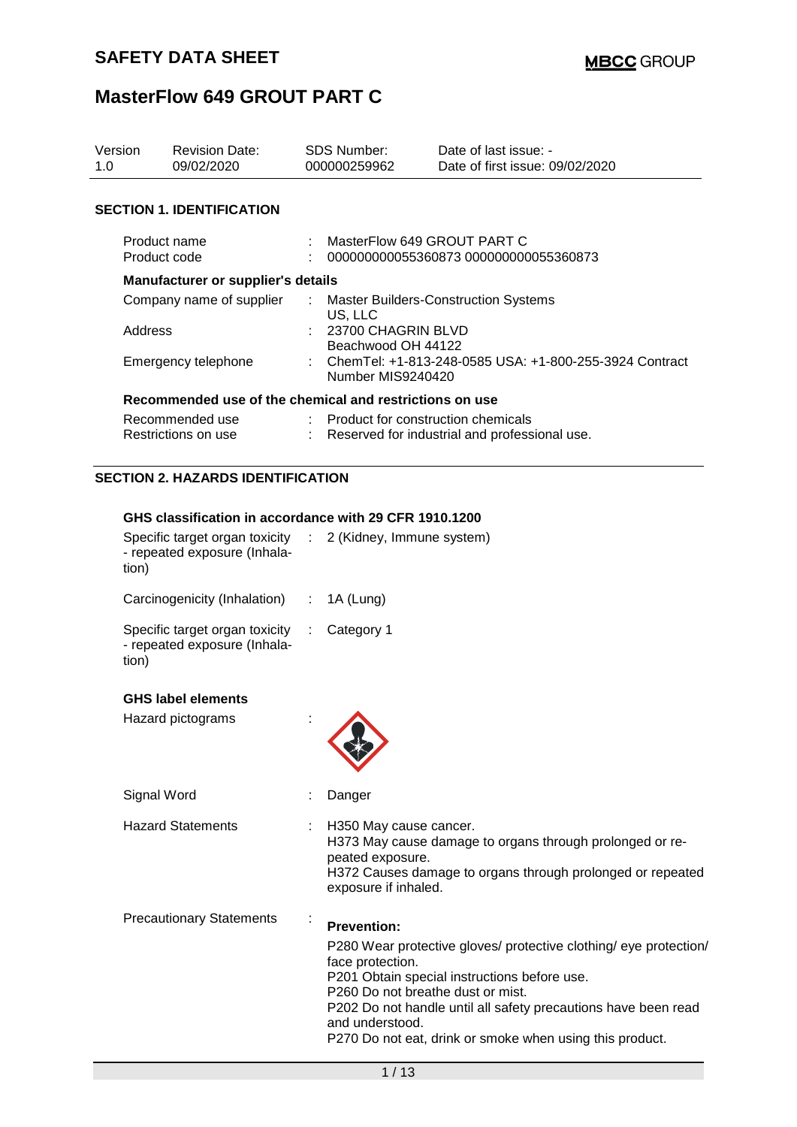| Version<br>1.0                      | <b>Revision Date:</b><br>09/02/2020                                                        |                            | <b>SDS Number:</b><br>000000259962                                                                 | Date of last issue: -<br>Date of first issue: 09/02/2020 |  |  |  |
|-------------------------------------|--------------------------------------------------------------------------------------------|----------------------------|----------------------------------------------------------------------------------------------------|----------------------------------------------------------|--|--|--|
|                                     | <b>SECTION 1. IDENTIFICATION</b>                                                           |                            |                                                                                                    |                                                          |  |  |  |
|                                     | Product name<br>Product code                                                               |                            | MasterFlow 649 GROUT PART C<br>000000000055360873 000000000055360873                               |                                                          |  |  |  |
|                                     | Manufacturer or supplier's details                                                         |                            |                                                                                                    |                                                          |  |  |  |
| Company name of supplier<br>Address |                                                                                            | $\mathcal{L}^{\text{max}}$ | <b>Master Builders-Construction Systems</b><br>US, LLC<br>23700 CHAGRIN BLVD<br>Beachwood OH 44122 |                                                          |  |  |  |
|                                     | Emergency telephone                                                                        |                            | ChemTel: +1-813-248-0585 USA: +1-800-255-3924 Contract<br>Number MIS9240420                        |                                                          |  |  |  |
|                                     | Recommended use of the chemical and restrictions on use                                    |                            |                                                                                                    |                                                          |  |  |  |
|                                     | Recommended use<br>Restrictions on use                                                     |                            | $\therefore$ Product for construction chemicals                                                    | : Reserved for industrial and professional use.          |  |  |  |
|                                     | <b>SECTION 2. HAZARDS IDENTIFICATION</b>                                                   |                            |                                                                                                    |                                                          |  |  |  |
|                                     | GHS classification in accordance with 29 CFR 1910.1200                                     |                            |                                                                                                    |                                                          |  |  |  |
| tion)                               | Specific target organ toxicity : 2 (Kidney, Immune system)<br>- repeated exposure (Inhala- |                            |                                                                                                    |                                                          |  |  |  |
|                                     | Carcinogenicity (Inhalation) : 1A (Lung)                                                   |                            |                                                                                                    |                                                          |  |  |  |

| Specific target organ toxicity | $\therefore$ Category 1 |
|--------------------------------|-------------------------|
| - repeated exposure (Inhala-   |                         |
| tion)                          |                         |

### **GHS label elements**

| Hazard pictograms               |                                                                                                                                                                                                                                                                                                                                                               |
|---------------------------------|---------------------------------------------------------------------------------------------------------------------------------------------------------------------------------------------------------------------------------------------------------------------------------------------------------------------------------------------------------------|
| Signal Word                     | Danger                                                                                                                                                                                                                                                                                                                                                        |
| <b>Hazard Statements</b>        | H350 May cause cancer.<br>H373 May cause damage to organs through prolonged or re-<br>peated exposure.<br>H372 Causes damage to organs through prolonged or repeated<br>exposure if inhaled.                                                                                                                                                                  |
| <b>Precautionary Statements</b> | <b>Prevention:</b><br>P280 Wear protective gloves/ protective clothing/ eye protection/<br>face protection.<br>P201 Obtain special instructions before use.<br>P <sub>260</sub> Do not breathe dust or mist.<br>P202 Do not handle until all safety precautions have been read<br>and understood.<br>P270 Do not eat, drink or smoke when using this product. |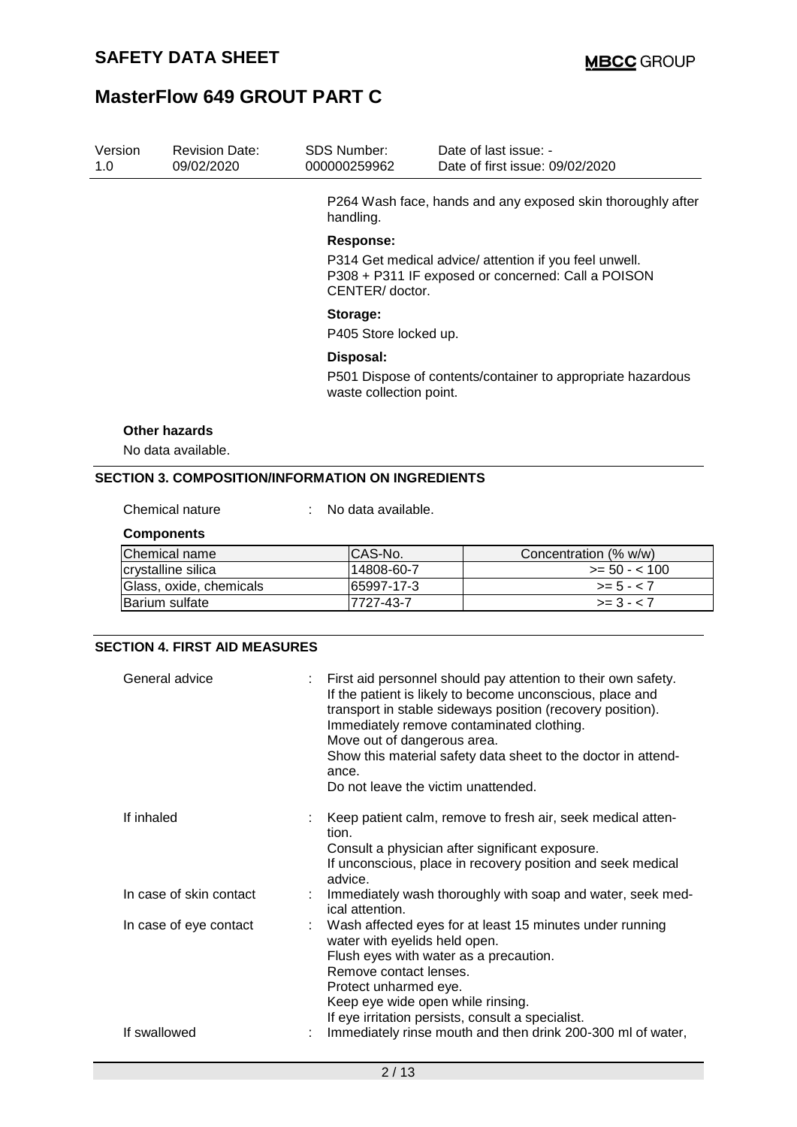| Version<br>1.0 | <b>Revision Date:</b><br>09/02/2020 | SDS Number:<br>000000259962                              | Date of last issue: -<br>Date of first issue: 09/02/2020                                                     |  |  |  |  |
|----------------|-------------------------------------|----------------------------------------------------------|--------------------------------------------------------------------------------------------------------------|--|--|--|--|
|                |                                     | handling.                                                | P264 Wash face, hands and any exposed skin thoroughly after                                                  |  |  |  |  |
|                |                                     | <b>Response:</b><br>CENTER/doctor.                       | P314 Get medical advice/ attention if you feel unwell.<br>P308 + P311 IF exposed or concerned: Call a POISON |  |  |  |  |
|                |                                     | Storage:                                                 | P405 Store locked up.                                                                                        |  |  |  |  |
|                |                                     | Disposal:                                                | P501 Dispose of contents/container to appropriate hazardous<br>waste collection point.                       |  |  |  |  |
|                | Other hazards                       |                                                          |                                                                                                              |  |  |  |  |
|                | No data available.                  |                                                          |                                                                                                              |  |  |  |  |
|                |                                     | <b>SECTION 3. COMPOSITION/INFORMATION ON INGREDIENTS</b> |                                                                                                              |  |  |  |  |
|                | Chemical nature                     | No data available.                                       |                                                                                                              |  |  |  |  |
|                | <b>Components</b>                   |                                                          |                                                                                                              |  |  |  |  |

### Chemical name CAS-No.<br>
CONCENTENT CONCENTENT CONCENTERIOM (% w/w)<br>
Class, oxide, chemicals 65997-17-3<br>
Class, oxide, chemicals 65997-17-3 crystalline silica Glass, oxide, chemicals 65997-17-3 >= 5 - < 7<br>Barium sulfate 7727-43-7 >= 3 - < 7 Barium sulfate

### **SECTION 4. FIRST AID MEASURES**

| General advice          | First aid personnel should pay attention to their own safety.<br>If the patient is likely to become unconscious, place and<br>transport in stable sideways position (recovery position).<br>Immediately remove contaminated clothing.<br>Move out of dangerous area.<br>Show this material safety data sheet to the doctor in attend-<br>ance.<br>Do not leave the victim unattended. |
|-------------------------|---------------------------------------------------------------------------------------------------------------------------------------------------------------------------------------------------------------------------------------------------------------------------------------------------------------------------------------------------------------------------------------|
| If inhaled              | Keep patient calm, remove to fresh air, seek medical atten-<br>tion.<br>Consult a physician after significant exposure.                                                                                                                                                                                                                                                               |
|                         | If unconscious, place in recovery position and seek medical<br>advice.                                                                                                                                                                                                                                                                                                                |
| In case of skin contact | Immediately wash thoroughly with soap and water, seek med-<br>ical attention.                                                                                                                                                                                                                                                                                                         |
| In case of eye contact  | Wash affected eyes for at least 15 minutes under running<br>water with eyelids held open.                                                                                                                                                                                                                                                                                             |
|                         | Flush eyes with water as a precaution.                                                                                                                                                                                                                                                                                                                                                |
|                         | Remove contact lenses.                                                                                                                                                                                                                                                                                                                                                                |
|                         | Protect unharmed eye.<br>Keep eye wide open while rinsing.                                                                                                                                                                                                                                                                                                                            |
|                         | If eye irritation persists, consult a specialist.                                                                                                                                                                                                                                                                                                                                     |
| If swallowed            | Immediately rinse mouth and then drink 200-300 ml of water,                                                                                                                                                                                                                                                                                                                           |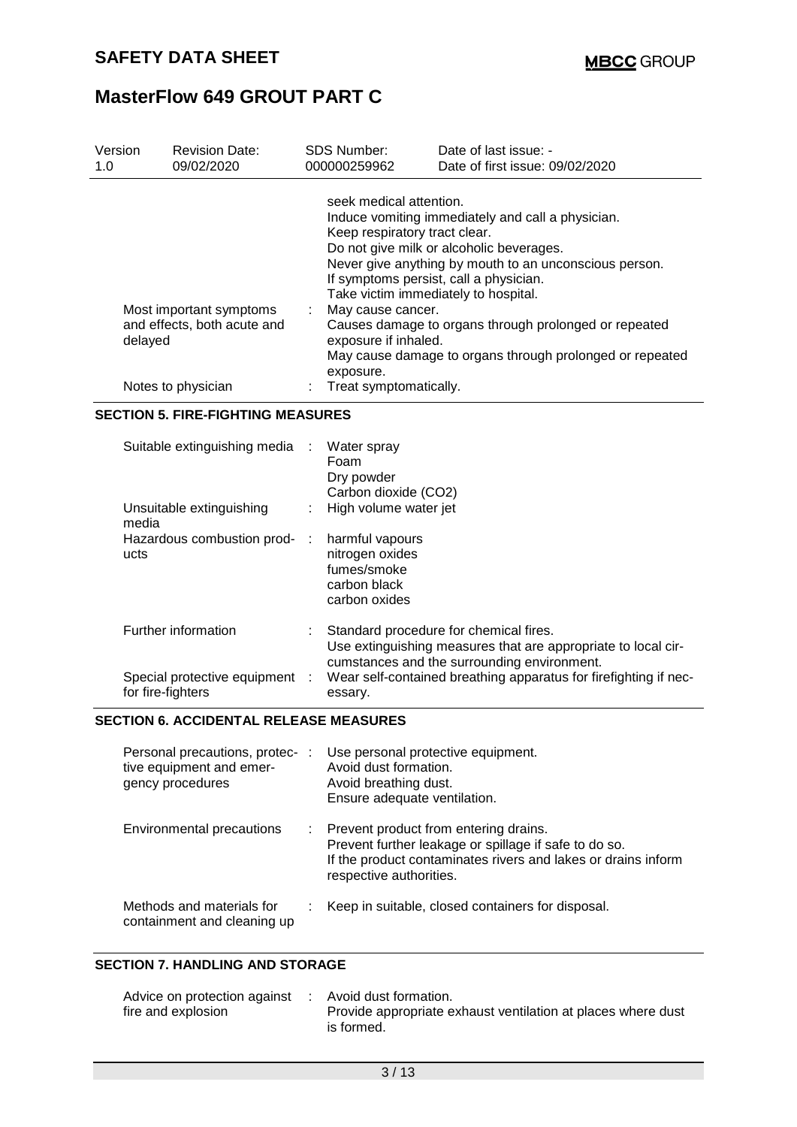| Version<br>1.0 | <b>Revision Date:</b><br>09/02/2020                    | <b>SDS Number:</b><br>000000259962                                                                                                                                                                                                                                                                    | Date of last issue: -<br>Date of first issue: 09/02/2020                                                          |  |  |  |
|----------------|--------------------------------------------------------|-------------------------------------------------------------------------------------------------------------------------------------------------------------------------------------------------------------------------------------------------------------------------------------------------------|-------------------------------------------------------------------------------------------------------------------|--|--|--|
|                |                                                        | seek medical attention.<br>Induce vomiting immediately and call a physician.<br>Keep respiratory tract clear.<br>Do not give milk or alcoholic beverages.<br>Never give anything by mouth to an unconscious person.<br>If symptoms persist, call a physician.<br>Take victim immediately to hospital. |                                                                                                                   |  |  |  |
| delayed        | Most important symptoms<br>and effects, both acute and | May cause cancer.<br>$\mathbb{Z}^n$ .<br>exposure if inhaled.<br>exposure.                                                                                                                                                                                                                            | Causes damage to organs through prolonged or repeated<br>May cause damage to organs through prolonged or repeated |  |  |  |
|                | Notes to physician                                     | Treat symptomatically.                                                                                                                                                                                                                                                                                |                                                                                                                   |  |  |  |

### **SECTION 5. FIRE-FIGHTING MEASURES**

| Suitable extinguishing media :                      | Water spray<br>Foam<br>Dry powder<br>Carbon dioxide (CO2)                                                                                              |
|-----------------------------------------------------|--------------------------------------------------------------------------------------------------------------------------------------------------------|
| Unsuitable extinguishing<br>media                   | : High volume water jet                                                                                                                                |
| Hazardous combustion prod-<br>ucts                  | harmful vapours<br>nitrogen oxides<br>fumes/smoke<br>carbon black<br>carbon oxides                                                                     |
| Further information                                 | Standard procedure for chemical fires.<br>Use extinguishing measures that are appropriate to local cir-<br>cumstances and the surrounding environment. |
| Special protective equipment :<br>for fire-fighters | Wear self-contained breathing apparatus for firefighting if nec-<br>essary.                                                                            |

### **SECTION 6. ACCIDENTAL RELEASE MEASURES**

| Personal precautions, protec-<br>tive equipment and emer-<br>gency procedures | $\mathbb{R}^n$ | Use personal protective equipment.<br>Avoid dust formation.<br>Avoid breathing dust.<br>Ensure adequate ventilation.                                                                       |
|-------------------------------------------------------------------------------|----------------|--------------------------------------------------------------------------------------------------------------------------------------------------------------------------------------------|
| Environmental precautions                                                     | ÷              | Prevent product from entering drains.<br>Prevent further leakage or spillage if safe to do so.<br>If the product contaminates rivers and lakes or drains inform<br>respective authorities. |
| Methods and materials for<br>containment and cleaning up                      |                | Keep in suitable, closed containers for disposal.                                                                                                                                          |

### **SECTION 7. HANDLING AND STORAGE**

| Advice on protection against : |  | Avoid dust formation.                                        |
|--------------------------------|--|--------------------------------------------------------------|
| fire and explosion             |  | Provide appropriate exhaust ventilation at places where dust |
|                                |  | is formed.                                                   |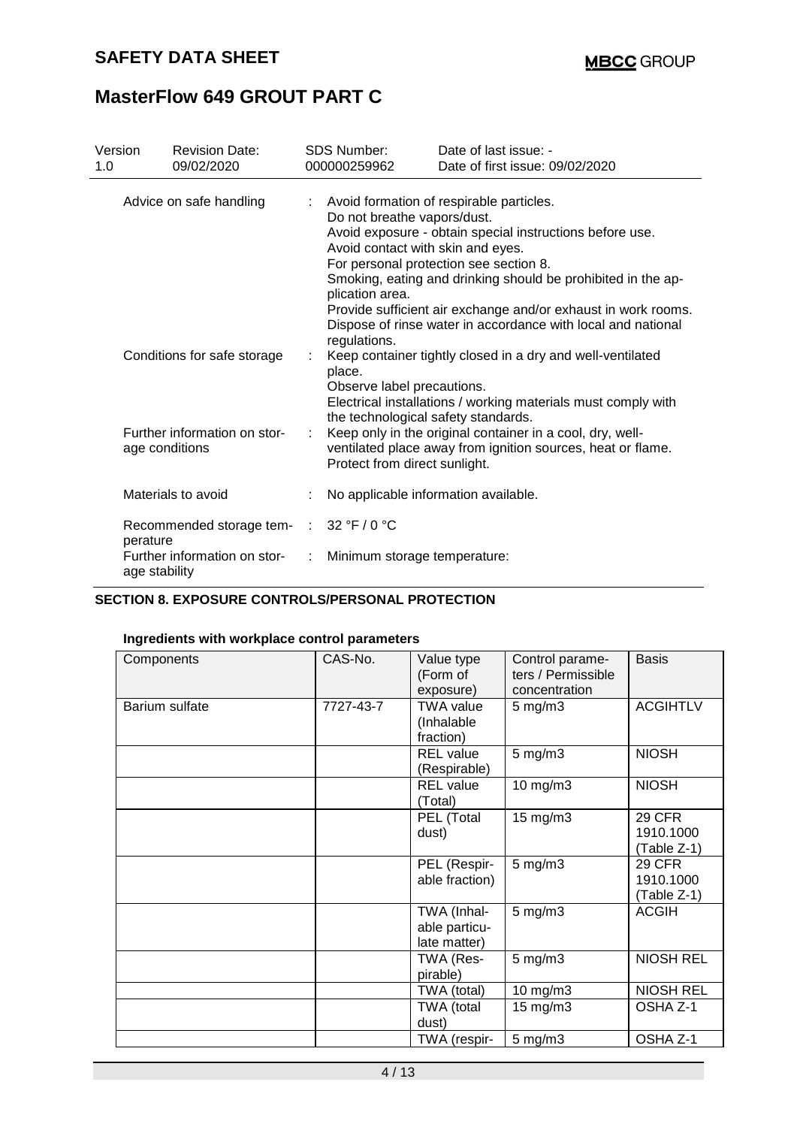| Version<br>1.0                                                                        |               | <b>Revision Date:</b><br>09/02/2020                                                                                      |                                                                                                                                                                                                                                                                                                                                                                                                                                                        | <b>SDS Number:</b><br>000000259962   | Date of last issue: -<br>Date of first issue: 09/02/2020 |
|---------------------------------------------------------------------------------------|---------------|--------------------------------------------------------------------------------------------------------------------------|--------------------------------------------------------------------------------------------------------------------------------------------------------------------------------------------------------------------------------------------------------------------------------------------------------------------------------------------------------------------------------------------------------------------------------------------------------|--------------------------------------|----------------------------------------------------------|
| Advice on safe handling                                                               |               | t.                                                                                                                       | Avoid formation of respirable particles.<br>Do not breathe vapors/dust.<br>Avoid exposure - obtain special instructions before use.<br>Avoid contact with skin and eyes.<br>For personal protection see section 8.<br>Smoking, eating and drinking should be prohibited in the ap-<br>plication area.<br>Provide sufficient air exchange and/or exhaust in work rooms.<br>Dispose of rinse water in accordance with local and national<br>regulations. |                                      |                                                          |
| Conditions for safe storage                                                           |               |                                                                                                                          | Keep container tightly closed in a dry and well-ventilated<br>place.<br>Observe label precautions.<br>Electrical installations / working materials must comply with<br>the technological safety standards.                                                                                                                                                                                                                                             |                                      |                                                          |
| Further information on stor-<br>t.<br>age conditions<br>Protect from direct sunlight. |               | Keep only in the original container in a cool, dry, well-<br>ventilated place away from ignition sources, heat or flame. |                                                                                                                                                                                                                                                                                                                                                                                                                                                        |                                      |                                                          |
|                                                                                       |               | Materials to avoid                                                                                                       |                                                                                                                                                                                                                                                                                                                                                                                                                                                        | No applicable information available. |                                                          |
|                                                                                       | perature      | Recommended storage tem-                                                                                                 | $\sim$                                                                                                                                                                                                                                                                                                                                                                                                                                                 | 32 °F / 0 °C                         |                                                          |
|                                                                                       | age stability | Further information on stor-                                                                                             |                                                                                                                                                                                                                                                                                                                                                                                                                                                        | Minimum storage temperature:         |                                                          |

### **SECTION 8. EXPOSURE CONTROLS/PERSONAL PROTECTION**

### **Ingredients with workplace control parameters**

| Components     | CAS-No.   | Value type<br>(Form of<br>exposure)          | Control parame-<br>ters / Permissible<br>concentration | <b>Basis</b>                                |
|----------------|-----------|----------------------------------------------|--------------------------------------------------------|---------------------------------------------|
| Barium sulfate | 7727-43-7 | <b>TWA value</b><br>(Inhalable<br>fraction)  | $5$ mg/m $3$                                           | <b>ACGIHTLV</b>                             |
|                |           | <b>REL</b> value<br>(Respirable)             | $5$ mg/m $3$                                           | <b>NIOSH</b>                                |
|                |           | <b>REL</b> value<br>(Total)                  | 10 mg/m3                                               | <b>NIOSH</b>                                |
|                |           | PEL (Total<br>dust)                          | $15$ mg/m $3$                                          | <b>29 CFR</b><br>1910.1000<br>$(Table Z-1)$ |
|                |           | PEL (Respir-<br>able fraction)               | $5$ mg/m $3$                                           | <b>29 CFR</b><br>1910.1000<br>(Table Z-1)   |
|                |           | TWA (Inhal-<br>able particu-<br>late matter) | $5$ mg/m $3$                                           | <b>ACGIH</b>                                |
|                |           | TWA (Res-<br>pirable)                        | $5$ mg/m $3$                                           | <b>NIOSH REL</b>                            |
|                |           | TWA (total)                                  | 10 mg/m3                                               | <b>NIOSH REL</b>                            |
|                |           | TWA (total<br>dust)                          | $15 \text{ mg/m}$                                      | OSHA Z-1                                    |
|                |           | TWA (respir-                                 | $5$ mg/m $3$                                           | OSHA Z-1                                    |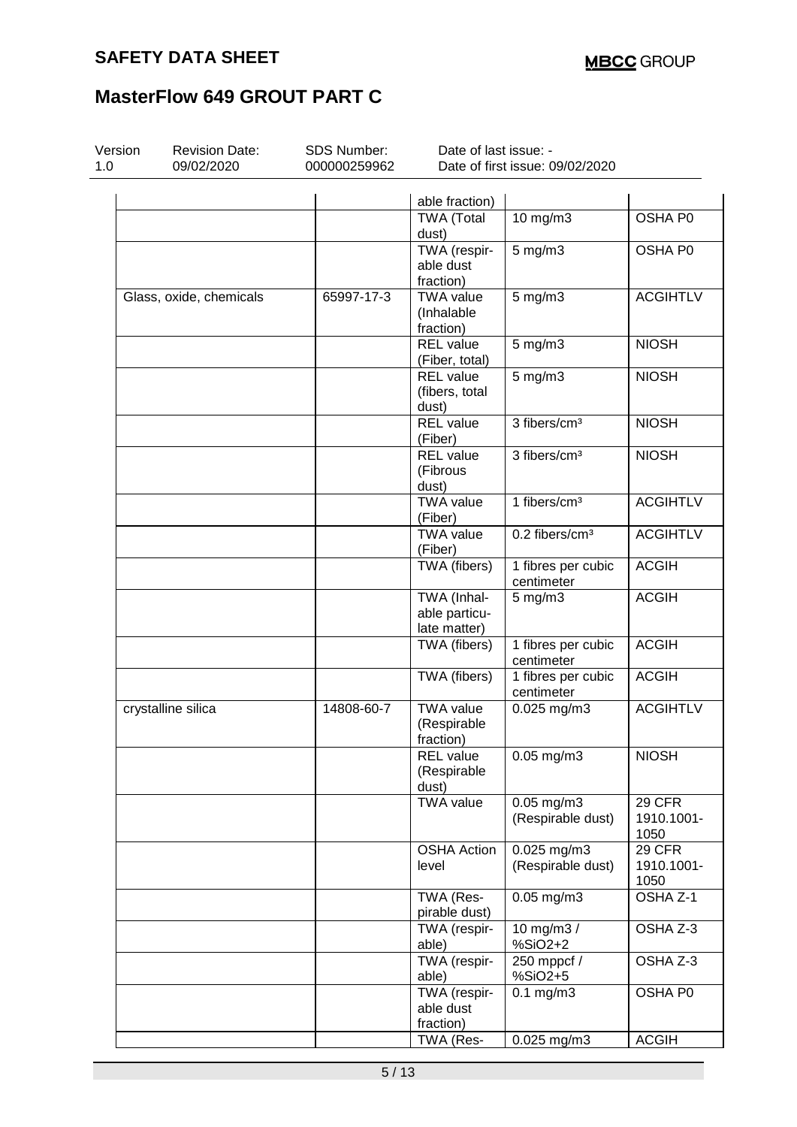| Version | <b>Revision Date:</b>   | SDS Number:  | Date of last issue: -           |                              |                 |  |
|---------|-------------------------|--------------|---------------------------------|------------------------------|-----------------|--|
| 1.0     | 09/02/2020              | 000000259962 | Date of first issue: 09/02/2020 |                              |                 |  |
|         |                         |              |                                 |                              |                 |  |
|         |                         |              | able fraction)                  |                              |                 |  |
|         |                         |              | <b>TWA (Total</b>               | 10 mg/m3                     | OSHA P0         |  |
|         |                         |              |                                 |                              |                 |  |
|         |                         |              | dust)                           |                              |                 |  |
|         |                         |              | TWA (respir-                    | $5$ mg/m $3$                 | OSHA P0         |  |
|         |                         |              | able dust                       |                              |                 |  |
|         |                         |              | fraction)                       |                              |                 |  |
|         | Glass, oxide, chemicals | 65997-17-3   | <b>TWA value</b>                | $5$ mg/m $3$                 | <b>ACGIHTLV</b> |  |
|         |                         |              | (Inhalable                      |                              |                 |  |
|         |                         |              | fraction)                       |                              |                 |  |
|         |                         |              | <b>REL</b> value                | $5$ mg/m $3$                 | <b>NIOSH</b>    |  |
|         |                         |              |                                 |                              |                 |  |
|         |                         |              | (Fiber, total)                  |                              |                 |  |
|         |                         |              | REL value                       | $5$ mg/m $3$                 | <b>NIOSH</b>    |  |
|         |                         |              | (fibers, total                  |                              |                 |  |
|         |                         |              | dust)                           |                              |                 |  |
|         |                         |              | <b>REL</b> value                | 3 fibers/cm <sup>3</sup>     | <b>NIOSH</b>    |  |
|         |                         |              | (Fiber)                         |                              |                 |  |
|         |                         |              | <b>REL</b> value                | 3 fibers/cm <sup>3</sup>     | <b>NIOSH</b>    |  |
|         |                         |              | (Fibrous                        |                              |                 |  |
|         |                         |              | dust)                           |                              |                 |  |
|         |                         |              |                                 |                              |                 |  |
|         |                         |              | <b>TWA value</b>                | 1 fibers/cm <sup>3</sup>     | <b>ACGIHTLV</b> |  |
|         |                         |              | (Fiber)                         |                              |                 |  |
|         |                         |              | <b>TWA value</b>                | $0.2$ fibers/cm <sup>3</sup> | <b>ACGIHTLV</b> |  |
|         |                         |              | (Fiber)                         |                              |                 |  |
|         |                         |              | TWA (fibers)                    | 1 fibres per cubic           | <b>ACGIH</b>    |  |
|         |                         |              |                                 | centimeter                   |                 |  |
|         |                         |              | TWA (Inhal-                     | $5$ mg/m $3$                 | <b>ACGIH</b>    |  |
|         |                         |              | able particu-                   |                              |                 |  |
|         |                         |              | late matter)                    |                              |                 |  |
|         |                         |              |                                 |                              |                 |  |
|         |                         |              | TWA (fibers)                    | 1 fibres per cubic           | <b>ACGIH</b>    |  |
|         |                         |              |                                 | centimeter                   |                 |  |
|         |                         |              | TWA (fibers)                    | 1 fibres per cubic           | <b>ACGIH</b>    |  |
|         |                         |              |                                 | centimeter                   |                 |  |
|         | crystalline silica      | 14808-60-7   | <b>TWA value</b>                | $0.025$ mg/m3                | <b>ACGIHTLV</b> |  |
|         |                         |              | (Respirable                     |                              |                 |  |
|         |                         |              | fraction)                       |                              |                 |  |
|         |                         |              | <b>REL</b> value                | $0.05$ mg/m $3$              | <b>NIOSH</b>    |  |
|         |                         |              | (Respirable                     |                              |                 |  |
|         |                         |              |                                 |                              |                 |  |
|         |                         |              | dust)                           |                              |                 |  |
|         |                         |              | <b>TWA value</b>                | $0.05$ mg/m $3$              | 29 CFR          |  |
|         |                         |              |                                 | (Respirable dust)            | 1910.1001-      |  |
|         |                         |              |                                 |                              | 1050            |  |
|         |                         |              | <b>OSHA Action</b>              | $0.025$ mg/m3                | 29 CFR          |  |
|         |                         |              | level                           | (Respirable dust)            | 1910.1001-      |  |
|         |                         |              |                                 |                              | 1050            |  |
|         |                         |              | TWA (Res-                       | $0.05$ mg/m $3$              | OSHA Z-1        |  |
|         |                         |              | pirable dust)                   |                              |                 |  |
|         |                         |              | TWA (respir-                    | 10 mg/m3 /                   | OSHA Z-3        |  |
|         |                         |              | able)                           | %SiO2+2                      |                 |  |
|         |                         |              |                                 |                              |                 |  |
|         |                         |              | TWA (respir-                    | 250 mppcf /                  | OSHA Z-3        |  |
|         |                         |              | able)                           | %SiO2+5                      |                 |  |
|         |                         |              | TWA (respir-                    | $0.1$ mg/m $3$               | OSHA P0         |  |
|         |                         |              | able dust                       |                              |                 |  |
|         |                         |              | fraction)                       |                              |                 |  |
|         |                         |              | TWA (Res-                       | 0.025 mg/m3                  | <b>ACGIH</b>    |  |
|         |                         |              |                                 |                              |                 |  |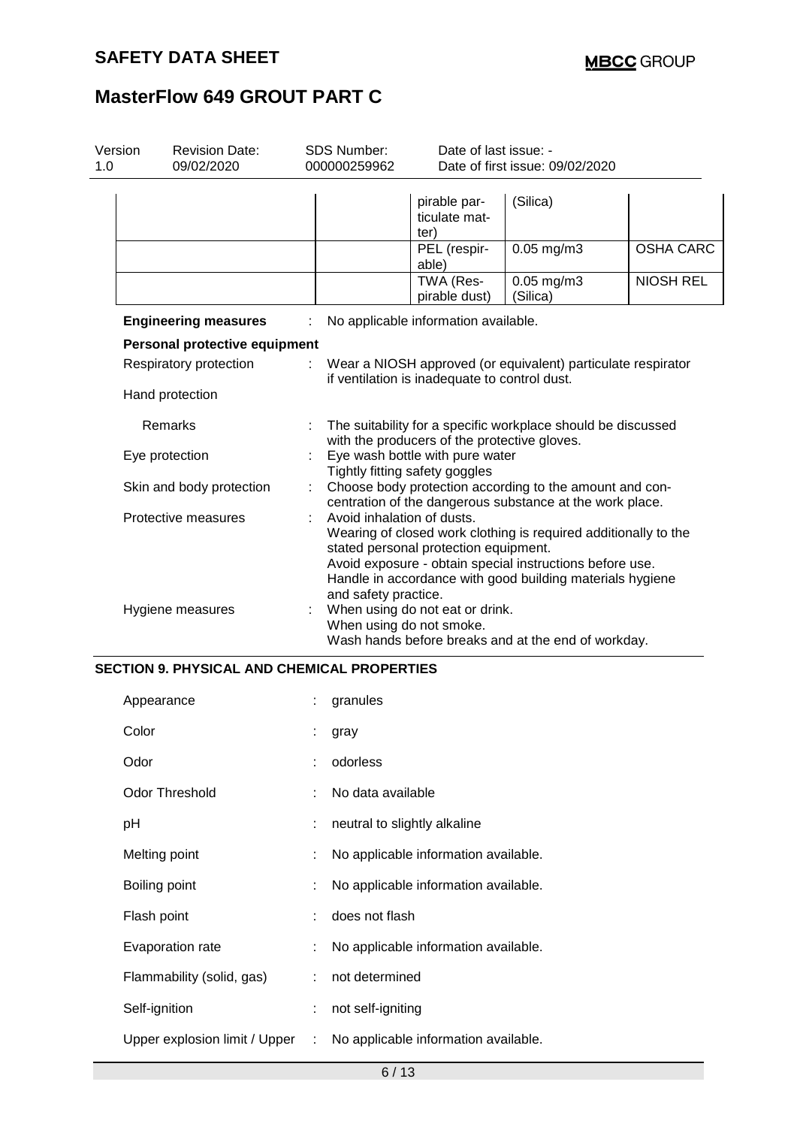| Version<br>1.0 | <b>Revision Date:</b><br>09/02/2020 | <b>SDS Number:</b><br>000000259962 |                                                                                                                                                                                                                                                                                         | Date of last issue: -<br>Date of first issue: 09/02/2020          |                                                                                                                     |                  |
|----------------|-------------------------------------|------------------------------------|-----------------------------------------------------------------------------------------------------------------------------------------------------------------------------------------------------------------------------------------------------------------------------------------|-------------------------------------------------------------------|---------------------------------------------------------------------------------------------------------------------|------------------|
|                |                                     |                                    |                                                                                                                                                                                                                                                                                         | pirable par-<br>ticulate mat-<br>ter)                             | (Silica)                                                                                                            |                  |
|                |                                     |                                    |                                                                                                                                                                                                                                                                                         | PEL (respir-<br>able)                                             | $0.05$ mg/m $3$                                                                                                     | <b>OSHA CARC</b> |
|                |                                     |                                    |                                                                                                                                                                                                                                                                                         | TWA (Res-<br>pirable dust)                                        | $0.05$ mg/m $3$<br>(Silica)                                                                                         | <b>NIOSH REL</b> |
|                | <b>Engineering measures</b>         |                                    |                                                                                                                                                                                                                                                                                         | No applicable information available.                              |                                                                                                                     |                  |
|                | Personal protective equipment       |                                    |                                                                                                                                                                                                                                                                                         |                                                                   |                                                                                                                     |                  |
|                | Respiratory protection              |                                    |                                                                                                                                                                                                                                                                                         | if ventilation is inadequate to control dust.                     | Wear a NIOSH approved (or equivalent) particulate respirator                                                        |                  |
|                | Hand protection                     |                                    |                                                                                                                                                                                                                                                                                         |                                                                   |                                                                                                                     |                  |
|                | Remarks                             |                                    |                                                                                                                                                                                                                                                                                         | with the producers of the protective gloves.                      | The suitability for a specific workplace should be discussed                                                        |                  |
|                | Eye protection                      |                                    |                                                                                                                                                                                                                                                                                         | Eye wash bottle with pure water<br>Tightly fitting safety goggles |                                                                                                                     |                  |
|                | Skin and body protection            |                                    |                                                                                                                                                                                                                                                                                         |                                                                   | Choose body protection according to the amount and con-<br>centration of the dangerous substance at the work place. |                  |
|                | Protective measures                 |                                    | Avoid inhalation of dusts.<br>Wearing of closed work clothing is required additionally to the<br>stated personal protection equipment.<br>Avoid exposure - obtain special instructions before use.<br>Handle in accordance with good building materials hygiene<br>and safety practice. |                                                                   |                                                                                                                     |                  |
|                | Hygiene measures                    |                                    | When using do not eat or drink.<br>When using do not smoke.<br>Wash hands before breaks and at the end of workday.                                                                                                                                                                      |                                                                   |                                                                                                                     |                  |

### **SECTION 9. PHYSICAL AND CHEMICAL PROPERTIES**

| Appearance                    | ÷                           | granules                             |
|-------------------------------|-----------------------------|--------------------------------------|
| Color                         | ÷                           | gray                                 |
| Odor                          |                             | odorless                             |
| <b>Odor Threshold</b>         |                             | No data available                    |
| рH                            |                             | neutral to slightly alkaline         |
| Melting point                 |                             | No applicable information available. |
| Boiling point                 |                             | No applicable information available. |
| Flash point                   |                             | does not flash                       |
| Evaporation rate              | ÷                           | No applicable information available. |
| Flammability (solid, gas)     | ÷.                          | not determined                       |
| Self-ignition                 | ÷                           | not self-igniting                    |
| Upper explosion limit / Upper | $\mathcal{L}^{\mathcal{A}}$ | No applicable information available. |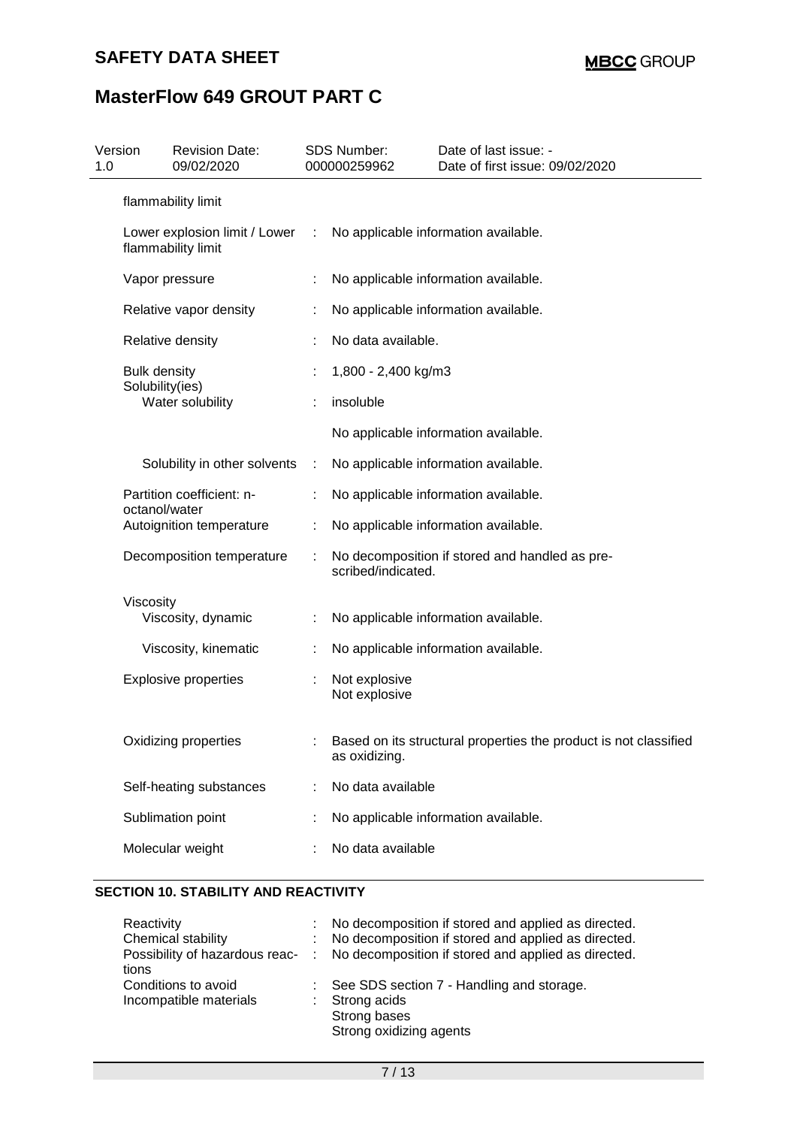| 1.0 | Version             | <b>Revision Date:</b><br>09/02/2020                 |   | SDS Number:<br>000000259962    | Date of last issue: -<br>Date of first issue: 09/02/2020         |
|-----|---------------------|-----------------------------------------------------|---|--------------------------------|------------------------------------------------------------------|
|     |                     | flammability limit                                  |   |                                |                                                                  |
|     |                     | Lower explosion limit / Lower<br>flammability limit | ÷ |                                | No applicable information available.                             |
|     |                     | Vapor pressure                                      |   |                                | No applicable information available.                             |
|     |                     | Relative vapor density                              | ÷ |                                | No applicable information available.                             |
|     |                     | Relative density                                    |   | No data available.             |                                                                  |
|     | <b>Bulk density</b> | Solubility(ies)                                     |   | 1,800 - 2,400 kg/m3            |                                                                  |
|     |                     | Water solubility                                    |   | insoluble                      |                                                                  |
|     |                     |                                                     |   |                                | No applicable information available.                             |
|     |                     | Solubility in other solvents                        | ÷ |                                | No applicable information available.                             |
|     |                     | Partition coefficient: n-<br>octanol/water          |   |                                | No applicable information available.                             |
|     |                     | Autoignition temperature                            |   |                                | No applicable information available.                             |
|     |                     | Decomposition temperature                           |   | scribed/indicated.             | No decomposition if stored and handled as pre-                   |
|     | Viscosity           | Viscosity, dynamic                                  | ÷ |                                | No applicable information available.                             |
|     |                     | Viscosity, kinematic                                |   |                                | No applicable information available.                             |
|     |                     | <b>Explosive properties</b>                         |   | Not explosive<br>Not explosive |                                                                  |
|     |                     | Oxidizing properties                                |   | as oxidizing.                  | Based on its structural properties the product is not classified |
|     |                     | Self-heating substances                             |   | No data available              |                                                                  |
|     |                     | Sublimation point                                   |   |                                | No applicable information available.                             |
|     |                     | Molecular weight                                    |   | No data available              |                                                                  |

### **SECTION 10. STABILITY AND REACTIVITY**

| Reactivity                     | No decomposition if stored and applied as directed. |
|--------------------------------|-----------------------------------------------------|
| Chemical stability             | No decomposition if stored and applied as directed. |
| Possibility of hazardous reac- | No decomposition if stored and applied as directed. |
| tions                          |                                                     |
| Conditions to avoid            | See SDS section 7 - Handling and storage.           |
| Incompatible materials         | Strong acids                                        |
|                                | Strong bases                                        |
|                                | Strong oxidizing agents                             |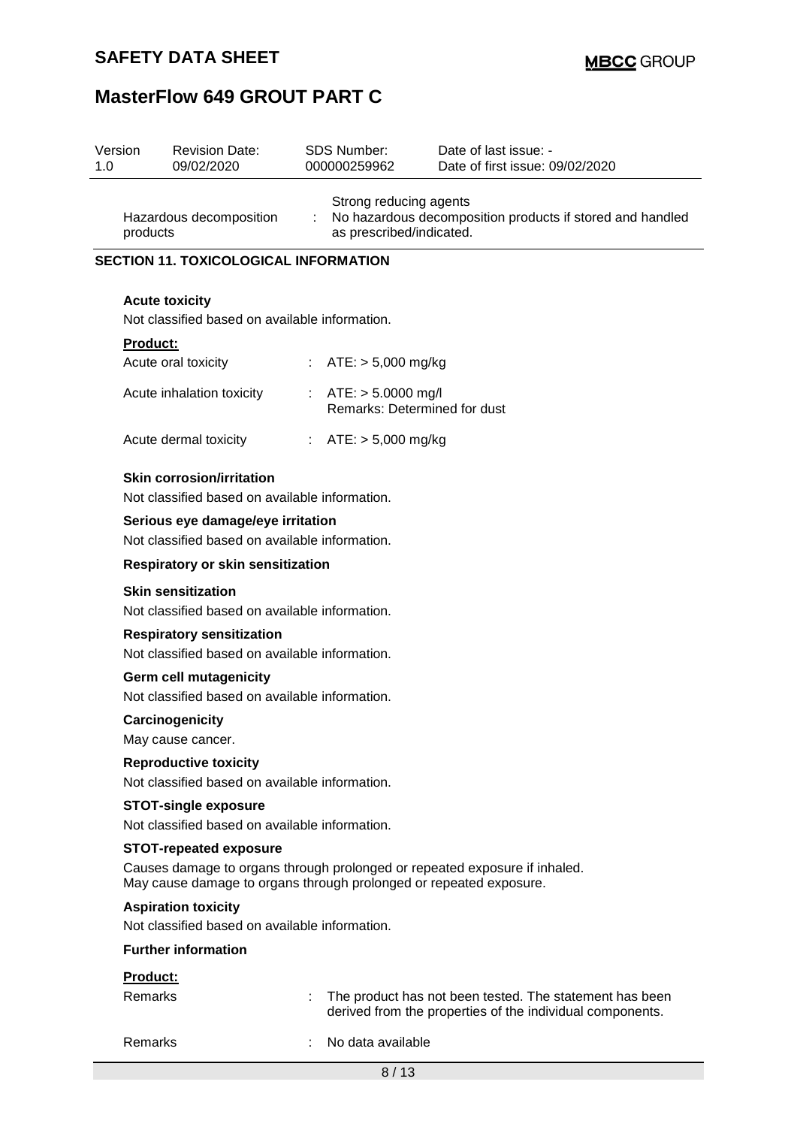## **SAFETY DATA SHEET**

| Version<br>1.0 |                 | <b>Revision Date:</b><br>09/02/2020                                                | <b>SDS Number:</b><br>000000259962                            | Date of last issue: -<br>Date of first issue: 09/02/2020                                                             |
|----------------|-----------------|------------------------------------------------------------------------------------|---------------------------------------------------------------|----------------------------------------------------------------------------------------------------------------------|
|                | products        | Hazardous decomposition                                                            | Strong reducing agents<br>as prescribed/indicated.            | No hazardous decomposition products if stored and handled                                                            |
|                |                 | <b>SECTION 11. TOXICOLOGICAL INFORMATION</b>                                       |                                                               |                                                                                                                      |
|                |                 | <b>Acute toxicity</b>                                                              |                                                               |                                                                                                                      |
|                |                 | Not classified based on available information.                                     |                                                               |                                                                                                                      |
|                | <b>Product:</b> |                                                                                    |                                                               |                                                                                                                      |
|                |                 | Acute oral toxicity                                                                | $ATE: > 5,000$ mg/kg                                          |                                                                                                                      |
|                |                 | Acute inhalation toxicity                                                          | : $ATE: > 5.0000$ mg/l<br><b>Remarks: Determined for dust</b> |                                                                                                                      |
|                |                 | Acute dermal toxicity                                                              | : $ATE: > 5,000 \text{ mg/kg}$                                |                                                                                                                      |
|                |                 | <b>Skin corrosion/irritation</b><br>Not classified based on available information. |                                                               |                                                                                                                      |
|                |                 | Serious eye damage/eye irritation                                                  |                                                               |                                                                                                                      |
|                |                 | Not classified based on available information.                                     |                                                               |                                                                                                                      |
|                |                 | <b>Respiratory or skin sensitization</b>                                           |                                                               |                                                                                                                      |
|                |                 | <b>Skin sensitization</b>                                                          |                                                               |                                                                                                                      |
|                |                 | Not classified based on available information.                                     |                                                               |                                                                                                                      |
|                |                 | <b>Respiratory sensitization</b><br>Not classified based on available information. |                                                               |                                                                                                                      |
|                |                 | <b>Germ cell mutagenicity</b><br>Not classified based on available information.    |                                                               |                                                                                                                      |
|                |                 | Carcinogenicity<br>May cause cancer.                                               |                                                               |                                                                                                                      |
|                |                 | <b>Reproductive toxicity</b><br>Not classified based on available information.     |                                                               |                                                                                                                      |
|                |                 | <b>STOT-single exposure</b>                                                        |                                                               |                                                                                                                      |
|                |                 | Not classified based on available information.                                     |                                                               |                                                                                                                      |
|                |                 | <b>STOT-repeated exposure</b>                                                      |                                                               |                                                                                                                      |
|                |                 | May cause damage to organs through prolonged or repeated exposure.                 |                                                               | Causes damage to organs through prolonged or repeated exposure if inhaled.                                           |
|                |                 | <b>Aspiration toxicity</b><br>Not classified based on available information.       |                                                               |                                                                                                                      |
|                |                 | <b>Further information</b>                                                         |                                                               |                                                                                                                      |
|                | Product:        |                                                                                    |                                                               |                                                                                                                      |
|                | <b>Remarks</b>  |                                                                                    |                                                               | The product has not been tested. The statement has been<br>derived from the properties of the individual components. |
|                | Remarks         |                                                                                    | No data available                                             |                                                                                                                      |
|                |                 |                                                                                    | 8/13                                                          |                                                                                                                      |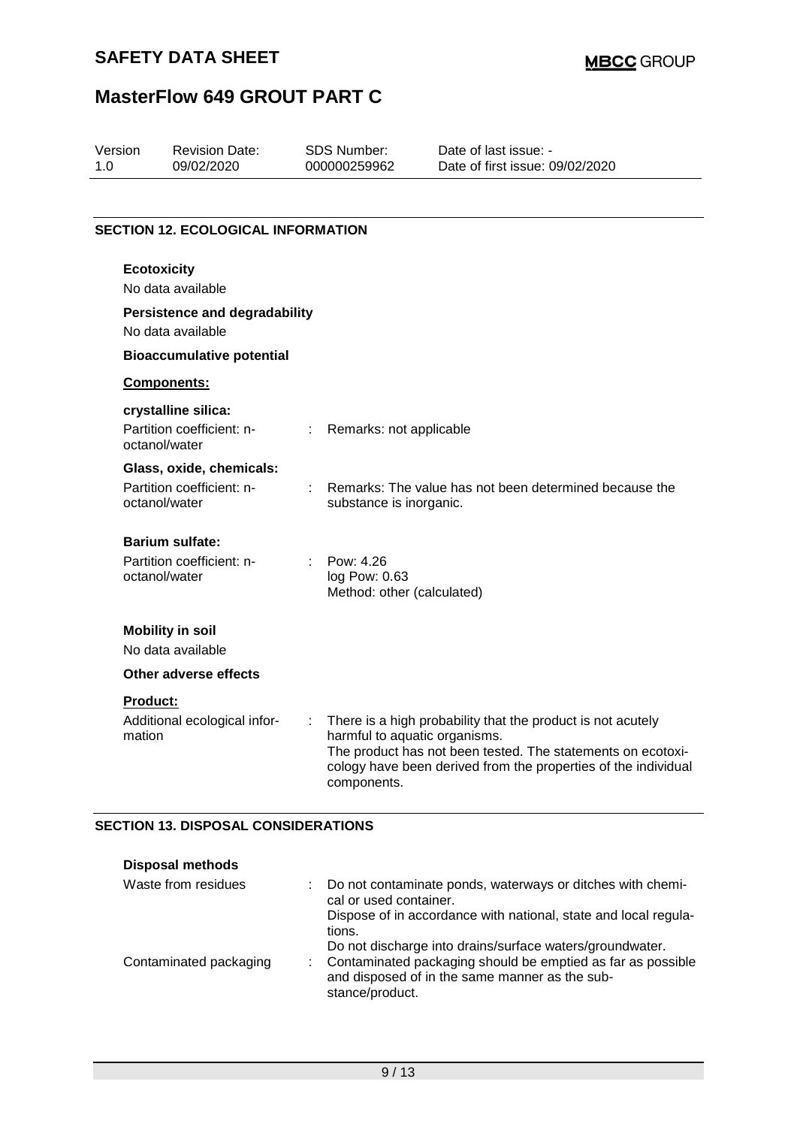| Version<br>1.0     | <b>Revision Date:</b><br>09/02/2020                                    |    | <b>SDS Number:</b><br>000000259962                       | Date of last issue: -<br>Date of first issue: 09/02/2020                                                                                                                                     |
|--------------------|------------------------------------------------------------------------|----|----------------------------------------------------------|----------------------------------------------------------------------------------------------------------------------------------------------------------------------------------------------|
|                    |                                                                        |    |                                                          |                                                                                                                                                                                              |
|                    | <b>SECTION 12. ECOLOGICAL INFORMATION</b>                              |    |                                                          |                                                                                                                                                                                              |
|                    | <b>Ecotoxicity</b><br>No data available                                |    |                                                          |                                                                                                                                                                                              |
|                    | <b>Persistence and degradability</b><br>No data available              |    |                                                          |                                                                                                                                                                                              |
|                    | <b>Bioaccumulative potential</b>                                       |    |                                                          |                                                                                                                                                                                              |
|                    | <b>Components:</b>                                                     |    |                                                          |                                                                                                                                                                                              |
|                    | crystalline silica:<br>Partition coefficient: n-<br>octanol/water      | t. | Remarks: not applicable                                  |                                                                                                                                                                                              |
|                    | Glass, oxide, chemicals:<br>Partition coefficient: n-<br>octanol/water |    | substance is inorganic.                                  | Remarks: The value has not been determined because the                                                                                                                                       |
|                    | <b>Barium sulfate:</b><br>Partition coefficient: n-<br>octanol/water   |    | Pow: 4.26<br>log Pow: 0.63<br>Method: other (calculated) |                                                                                                                                                                                              |
|                    | <b>Mobility in soil</b><br>No data available                           |    |                                                          |                                                                                                                                                                                              |
|                    | Other adverse effects                                                  |    |                                                          |                                                                                                                                                                                              |
| Product:<br>mation | Additional ecological infor-                                           | ÷. | harmful to aquatic organisms.<br>components.             | There is a high probability that the product is not acutely<br>The product has not been tested. The statements on ecotoxi-<br>cology have been derived from the properties of the individual |

| <b>Disposal methods</b> |                                                                                                                                                                                              |
|-------------------------|----------------------------------------------------------------------------------------------------------------------------------------------------------------------------------------------|
| Waste from residues     | Do not contaminate ponds, waterways or ditches with chemi-<br>cal or used container.                                                                                                         |
|                         | Dispose of in accordance with national, state and local regula-<br>tions.                                                                                                                    |
| Contaminated packaging  | Do not discharge into drains/surface waters/groundwater.<br>Contaminated packaging should be emptied as far as possible<br>and disposed of in the same manner as the sub-<br>stance/product. |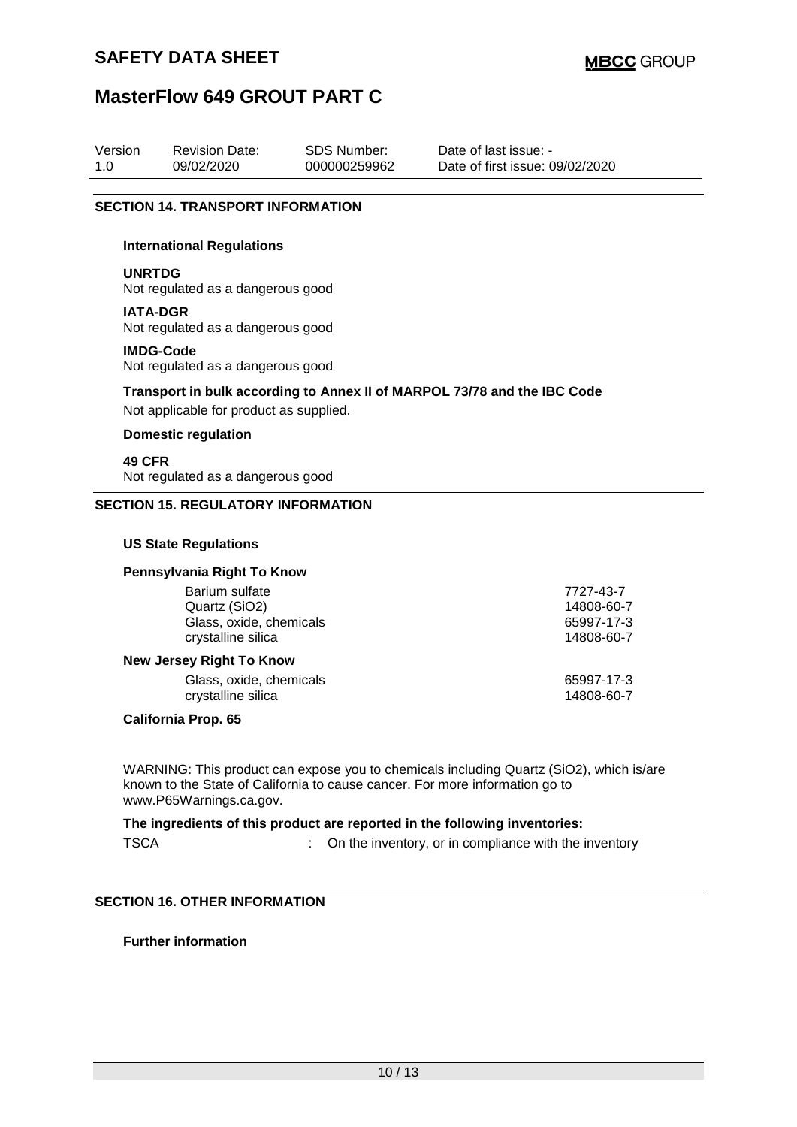| Version | <b>Revision Date:</b> | SDS Number:  | Date of last issue: -           |
|---------|-----------------------|--------------|---------------------------------|
| 1.0     | 09/02/2020            | 000000259962 | Date of first issue: 09/02/2020 |

### **SECTION 14. TRANSPORT INFORMATION**

#### **International Regulations**

#### **UNRTDG**

Not regulated as a dangerous good

### **IATA-DGR**

Not regulated as a dangerous good

#### **IMDG-Code**

Not regulated as a dangerous good

### **Transport in bulk according to Annex II of MARPOL 73/78 and the IBC Code**

Not applicable for product as supplied.

### **Domestic regulation**

**49 CFR** Not regulated as a dangerous good

### **SECTION 15. REGULATORY INFORMATION**

### **US State Regulations**

#### **Pennsylvania Right To Know**

| 7727-43-7<br>14808-60-7<br>65997-17-3<br>14808-60-7 |
|-----------------------------------------------------|
|                                                     |
| 65997-17-3<br>14808-60-7                            |
|                                                     |

#### **California Prop. 65**

WARNING: This product can expose you to chemicals including Quartz (SiO2), which is/are known to the State of California to cause cancer. For more information go to www.P65Warnings.ca.gov.

#### **The ingredients of this product are reported in the following inventories:**

TSCA : On the inventory, or in compliance with the inventory

### **SECTION 16. OTHER INFORMATION**

### **Further information**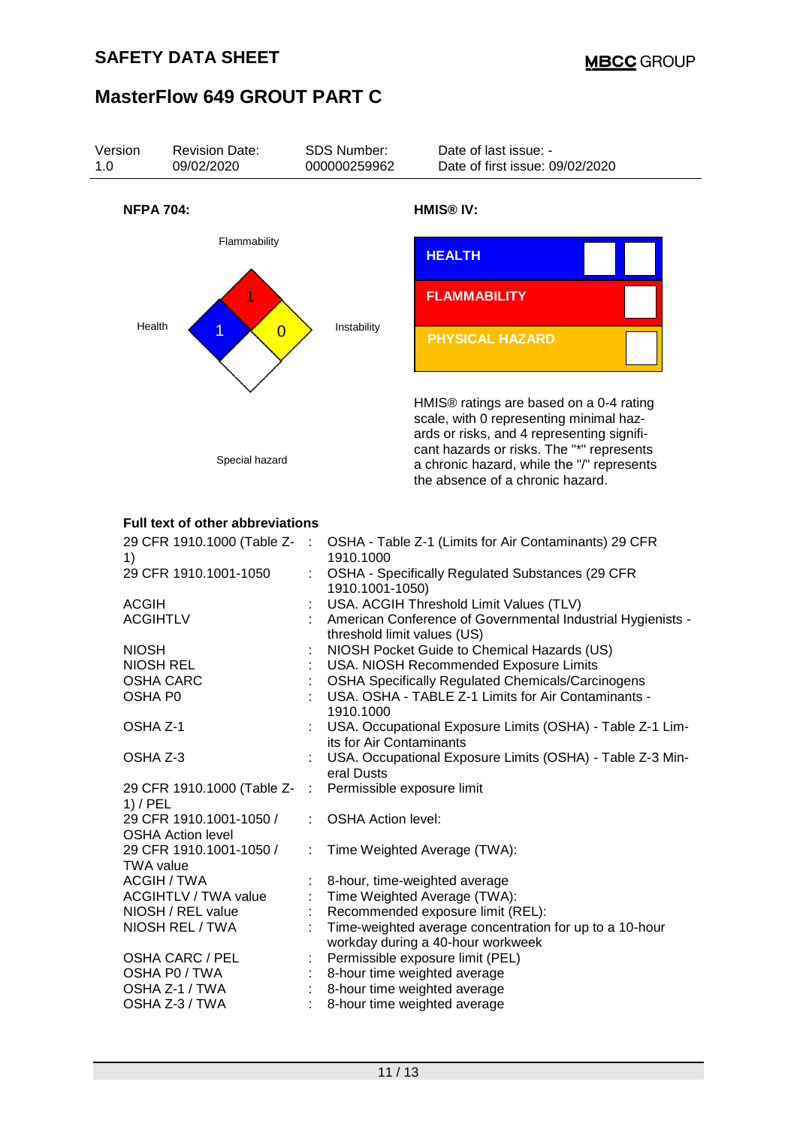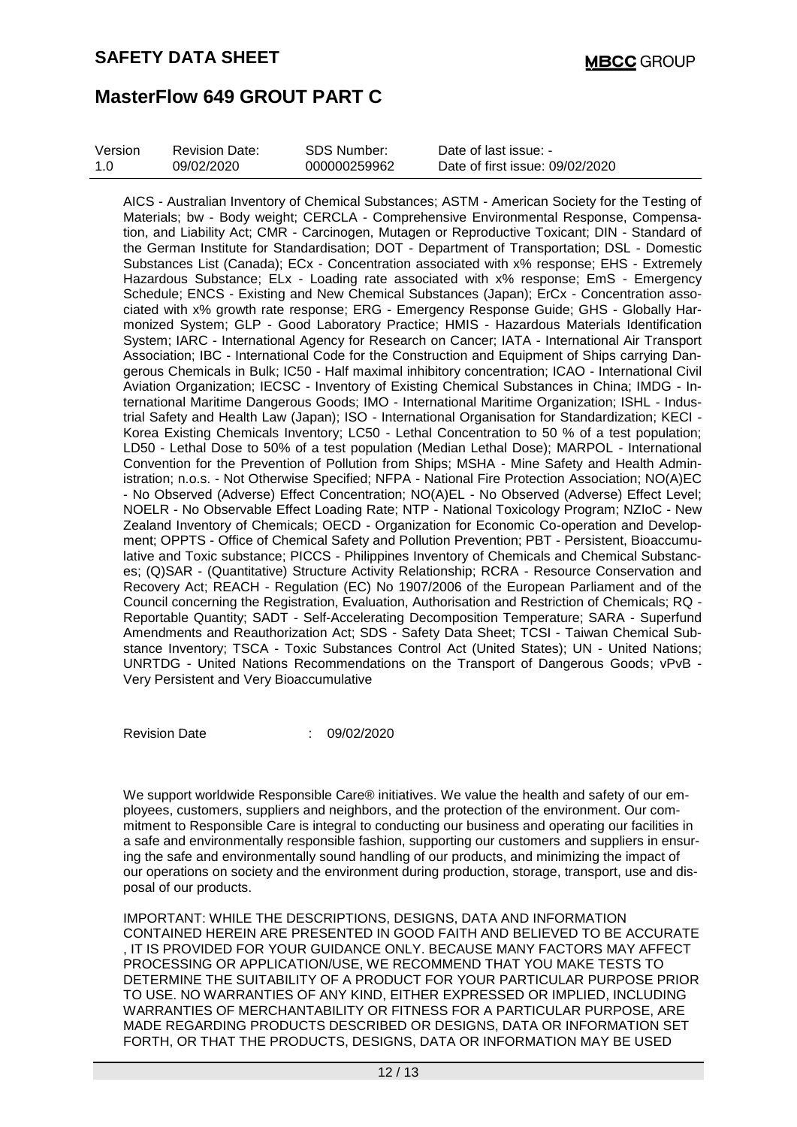| Version | <b>Revision Date:</b> | SDS Number:  | Date of last issue: -           |
|---------|-----------------------|--------------|---------------------------------|
| 1.0     | 09/02/2020            | 000000259962 | Date of first issue: 09/02/2020 |

AICS - Australian Inventory of Chemical Substances; ASTM - American Society for the Testing of Materials; bw - Body weight; CERCLA - Comprehensive Environmental Response, Compensation, and Liability Act; CMR - Carcinogen, Mutagen or Reproductive Toxicant; DIN - Standard of the German Institute for Standardisation; DOT - Department of Transportation; DSL - Domestic Substances List (Canada); ECx - Concentration associated with x% response; EHS - Extremely Hazardous Substance; ELx - Loading rate associated with x% response; EmS - Emergency Schedule; ENCS - Existing and New Chemical Substances (Japan); ErCx - Concentration associated with x% growth rate response; ERG - Emergency Response Guide; GHS - Globally Harmonized System; GLP - Good Laboratory Practice; HMIS - Hazardous Materials Identification System; IARC - International Agency for Research on Cancer; IATA - International Air Transport Association; IBC - International Code for the Construction and Equipment of Ships carrying Dangerous Chemicals in Bulk; IC50 - Half maximal inhibitory concentration; ICAO - International Civil Aviation Organization; IECSC - Inventory of Existing Chemical Substances in China; IMDG - International Maritime Dangerous Goods; IMO - International Maritime Organization; ISHL - Industrial Safety and Health Law (Japan); ISO - International Organisation for Standardization; KECI - Korea Existing Chemicals Inventory; LC50 - Lethal Concentration to 50 % of a test population; LD50 - Lethal Dose to 50% of a test population (Median Lethal Dose); MARPOL - International Convention for the Prevention of Pollution from Ships; MSHA - Mine Safety and Health Administration; n.o.s. - Not Otherwise Specified; NFPA - National Fire Protection Association; NO(A)EC - No Observed (Adverse) Effect Concentration; NO(A)EL - No Observed (Adverse) Effect Level; NOELR - No Observable Effect Loading Rate; NTP - National Toxicology Program; NZIoC - New Zealand Inventory of Chemicals; OECD - Organization for Economic Co-operation and Development; OPPTS - Office of Chemical Safety and Pollution Prevention; PBT - Persistent, Bioaccumulative and Toxic substance; PICCS - Philippines Inventory of Chemicals and Chemical Substances; (Q)SAR - (Quantitative) Structure Activity Relationship; RCRA - Resource Conservation and Recovery Act; REACH - Regulation (EC) No 1907/2006 of the European Parliament and of the Council concerning the Registration, Evaluation, Authorisation and Restriction of Chemicals; RQ - Reportable Quantity; SADT - Self-Accelerating Decomposition Temperature; SARA - Superfund Amendments and Reauthorization Act; SDS - Safety Data Sheet; TCSI - Taiwan Chemical Substance Inventory; TSCA - Toxic Substances Control Act (United States); UN - United Nations; UNRTDG - United Nations Recommendations on the Transport of Dangerous Goods; vPvB - Very Persistent and Very Bioaccumulative

Revision Date : 09/02/2020

We support worldwide Responsible Care® initiatives. We value the health and safety of our employees, customers, suppliers and neighbors, and the protection of the environment. Our commitment to Responsible Care is integral to conducting our business and operating our facilities in a safe and environmentally responsible fashion, supporting our customers and suppliers in ensuring the safe and environmentally sound handling of our products, and minimizing the impact of our operations on society and the environment during production, storage, transport, use and disposal of our products.

IMPORTANT: WHILE THE DESCRIPTIONS, DESIGNS, DATA AND INFORMATION CONTAINED HEREIN ARE PRESENTED IN GOOD FAITH AND BELIEVED TO BE ACCURATE , IT IS PROVIDED FOR YOUR GUIDANCE ONLY. BECAUSE MANY FACTORS MAY AFFECT PROCESSING OR APPLICATION/USE, WE RECOMMEND THAT YOU MAKE TESTS TO DETERMINE THE SUITABILITY OF A PRODUCT FOR YOUR PARTICULAR PURPOSE PRIOR TO USE. NO WARRANTIES OF ANY KIND, EITHER EXPRESSED OR IMPLIED, INCLUDING WARRANTIES OF MERCHANTABILITY OR FITNESS FOR A PARTICULAR PURPOSE, ARE MADE REGARDING PRODUCTS DESCRIBED OR DESIGNS, DATA OR INFORMATION SET FORTH, OR THAT THE PRODUCTS, DESIGNS, DATA OR INFORMATION MAY BE USED